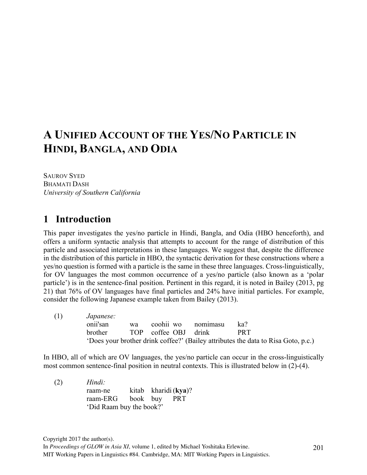# **A UNIFIED ACCOUNT OF THE YES/NO PARTICLE IN HINDI, BANGLA, AND ODIA**

SAUROV SYED BHAMATI DASH *University of Southern California*

## **1** Introduction

This paper investigates the yes/no particle in Hindi, Bangla, and Odia (HBO henceforth), and offers a uniform syntactic analysis that attempts to account for the range of distribution of this particle and associated interpretations in these languages. We suggest that, despite the difference in the distribution of this particle in HBO, the syntactic derivation for these constructions where a yes/no question is formed with a particle is the same in these three languages. Cross-linguistically, for OV languages the most common occurrence of a yes/no particle (also known as a 'polar particle') is in the sentence-final position. Pertinent in this regard, it is noted in Bailey (2013, pg 21) that 76% of OV languages have final particles and 24% have initial particles. For example, consider the following Japanese example taken from Bailey (2013).

(1) *Japanese:* onii'san wa coohii wo nomimasu ka? brother TOP coffee OBJ drink PRT 'Does your brother drink coffee?' (Bailey attributes the data to Risa Goto, p.c.)

In HBO, all of which are OV languages, the yes/no particle can occur in the cross-linguistically most common sentence-final position in neutral contexts. This is illustrated below in (2)-(4).

(2) *Hindi:* raam-ne kitab kharidi (**kya**)? raam-ERG book buy PRT 'Did Raam buy the book?'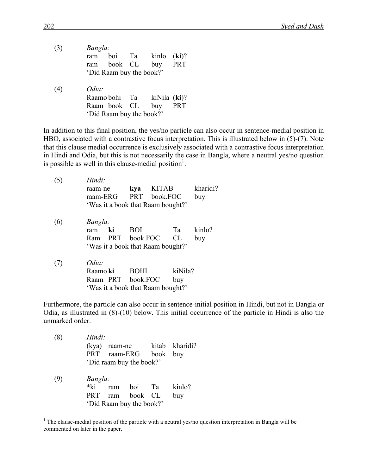| (3) | Bangla:                  |                   |            |
|-----|--------------------------|-------------------|------------|
|     | ram                      | boi Ta kinlo      | $(ki)$ ?   |
|     | book CL buy<br>ram       |                   | <b>PRT</b> |
|     | 'Did Raam buy the book?' |                   |            |
| (4) | Odia:                    |                   |            |
|     | Raamo bohi Ta            | $kiNila$ $(ki)$ ? |            |
|     | Raam book CL             | buy               |            |

'Did Raam buy the book?'

In addition to this final position, the yes/no particle can also occur in sentence-medial position in HBO, associated with a contrastive focus interpretation. This is illustrated below in (5)-(7). Note that this clause medial occurrence is exclusively associated with a contrastive focus interpretation in Hindi and Odia, but this is not necessarily the case in Bangla, where a neutral yes/no question is possible as well in this clause-medial position<sup>1</sup>.

| (5) | Hindi:<br>raam-ne<br>raam-ERG<br>'Was it a book that Raam bought?'          | <b>KITAB</b><br>kya<br><b>PRT</b><br>book.FOC |                | kharidi?<br>buy |
|-----|-----------------------------------------------------------------------------|-----------------------------------------------|----------------|-----------------|
| (6) | Bangla:<br>ki<br>ram<br>PRT<br>Ram<br>'Was it a book that Raam bought?'     | <b>BOI</b><br>book.FOC                        | Ta<br>CL       | kinlo?<br>buy   |
| (7) | Odia:<br>Raamo ki<br>Raam PRT book.FOC<br>'Was it a book that Raam bought?' | <b>BOHI</b>                                   | kiNila?<br>buy |                 |

Furthermore, the particle can also occur in sentence-initial position in Hindi, but not in Bangla or Odia, as illustrated in (8)-(10) below. This initial occurrence of the particle in Hindi is also the unmarked order.

|     | Hindi:<br>(kya)<br><b>PRT</b> | raam-ne    | raam-ERG book buy<br>'Did raam buy the book?' |      | kitab kharidi? |
|-----|-------------------------------|------------|-----------------------------------------------|------|----------------|
| (9) | Bangla:<br>*ki<br><b>PRT</b>  | ram<br>ram | boi<br>book CL<br>'Did Raam buy the book?'    | - Ta | kinlo?<br>buy  |

<sup>&</sup>lt;sup>1</sup> The clause-medial position of the particle with a neutral yes/no question interpretation in Bangla will be commented on later in the paper.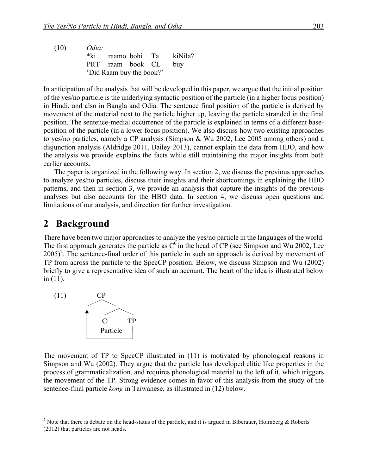(10) *Odia:* \*ki raamo bohi Ta kiNila? PRT raam book CL buy 'Did Raam buy the book?'

In anticipation of the analysis that will be developed in this paper, we argue that the initial position of the yes/no particle is the underlying syntactic position of the particle (in a higher focus position) in Hindi, and also in Bangla and Odia. The sentence final position of the particle is derived by movement of the material next to the particle higher up, leaving the particle stranded in the final position. The sentence-medial occurrence of the particle is explained in terms of a different baseposition of the particle (in a lower focus position). We also discuss how two existing approaches to yes/no particles, namely a CP analysis (Simpson & Wu 2002, Lee 2005 among others) and a disjunction analysis (Aldridge 2011, Bailey 2013), cannot explain the data from HBO, and how the analysis we provide explains the facts while still maintaining the major insights from both earlier accounts.

The paper is organized in the following way. In section 2, we discuss the previous approaches to analyze yes/no particles, discuss their insights and their shortcomings in explaining the HBO patterns, and then in section 3, we provide an analysis that capture the insights of the previous analyses but also accounts for the HBO data. In section 4, we discuss open questions and limitations of our analysis, and direction for further investigation.

## 2 **Background**

There have been two major approaches to analyze the yes/no particle in the languages of the world. The first approach generates the particle as  $C^0$  in the head of CP (see Simpson and Wu 2002, Lee  $2005$ <sup>2</sup>. The sentence-final order of this particle in such an approach is derived by movement of TP from across the particle to the SpecCP position. Below, we discuss Simpson and Wu (2002) briefly to give a representative idea of such an account. The heart of the idea is illustrated below in (11).



The movement of TP to SpecCP illustrated in (11) is motivated by phonological reasons in Simpson and Wu (2002). They argue that the particle has developed clitic like properties in the process of grammaticalization, and requires phonological material to the left of it, which triggers the movement of the TP. Strong evidence comes in favor of this analysis from the study of the sentence-final particle *kong* in Taiwanese, as illustrated in (12) below.

<sup>&</sup>lt;sup>2</sup> Note that there is debate on the head-status of the particle, and it is argued in Biberauer, Holmberg & Roberts (2012) that particles are not heads.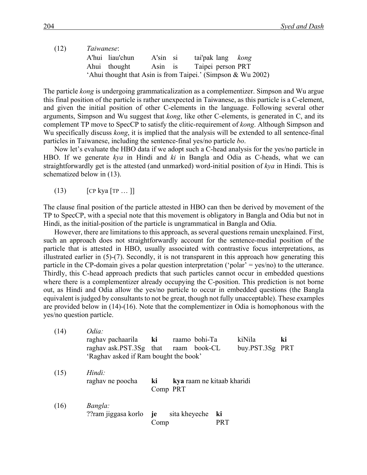| (12) | Taiwanese: |                 |          |                                                              |
|------|------------|-----------------|----------|--------------------------------------------------------------|
|      |            | A'hui liau'chun | A'sin si | tai'pak lang kong                                            |
|      |            | Ahui thought    |          | Asin is Taipei person PRT                                    |
|      |            |                 |          | 'Ahui thought that Asin is from Taipei.' (Simpson & Wu 2002) |

The particle *kong* is undergoing grammaticalization as a complementizer. Simpson and Wu argue this final position of the particle is rather unexpected in Taiwanese, as this particle is a C-element, and given the initial position of other C-elements in the language. Following several other arguments, Simpson and Wu suggest that *kong*, like other C-elements, is generated in C, and its complement TP move to SpecCP to satisfy the clitic-requirement of *kong*. Although Simpson and Wu specifically discuss *kong*, it is implied that the analysis will be extended to all sentence-final particles in Taiwanese, including the sentence-final yes/no particle *bo*.

Now let's evaluate the HBO data if we adopt such a C-head analysis for the yes/no particle in HBO. If we generate *kya* in Hindi and *ki* in Bangla and Odia as C-heads, what we can straightforwardly get is the attested (and unmarked) word-initial position of *kya* in Hindi. This is schematized below in (13).

(13) [CP kya [TP … ]]

The clause final position of the particle attested in HBO can then be derived by movement of the TP to SpecCP, with a special note that this movement is obligatory in Bangla and Odia but not in Hindi, as the initial-position of the particle is ungrammatical in Bangla and Odia.

However, there are limitations to this approach, as several questions remain unexplained. First, such an approach does not straightforwardly account for the sentence-medial position of the particle that is attested in HBO, usually associated with contrastive focus interpretations, as illustrated earlier in (5)-(7). Secondly, it is not transparent in this approach how generating this particle in the CP-domain gives a polar question interpretation ('polar' = yes/no) to the utterance. Thirdly, this C-head approach predicts that such particles cannot occur in embedded questions where there is a complementizer already occupying the C-position. This prediction is not borne out, as Hindi and Odia allow the yes/no particle to occur in embedded questions (the Bangla equivalent is judged by consultants to not be great, though not fully unacceptable). These examples are provided below in (14)-(16). Note that the complementizer in Odia is homophonous with the yes/no question particle.

| (14) | Odia:<br>raghav pachaarila ki<br>raghav ask.PST.3Sg that raam book-CL<br>'Raghav asked if Ram bought the book' |                |               | raamo bohi-Ta              |                  | kiNila<br>buy.PST.3Sg PRT | ki |
|------|----------------------------------------------------------------------------------------------------------------|----------------|---------------|----------------------------|------------------|---------------------------|----|
| (15) | Hindi:<br>raghav ne poocha                                                                                     | ki<br>Comp PRT |               | kya raam ne kitaab kharidi |                  |                           |    |
| (16) | Bangla:<br>??ram jiggasa korlo <b>je</b>                                                                       | Comp           | sita kheyeche |                            | ki<br><b>PRT</b> |                           |    |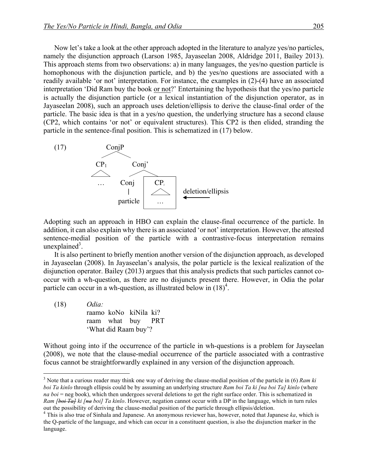Now let's take a look at the other approach adopted in the literature to analyze yes/no particles, namely the disjunction approach (Larson 1985, Jayaseelan 2008, Aldridge 2011, Bailey 2013). This approach stems from two observations: a) in many languages, the yes/no question particle is homophonous with the disjunction particle, and b) the yes/no questions are associated with a readily available 'or not' interpretation. For instance, the examples in (2)-(4) have an associated interpretation 'Did Ram buy the book or not?' Entertaining the hypothesis that the yes/no particle is actually the disjunction particle (or a lexical instantiation of the disjunction operator, as in Jayaseelan 2008), such an approach uses deletion/ellipsis to derive the clause-final order of the particle. The basic idea is that in a yes/no question, the underlying structure has a second clause (CP2, which contains 'or not' or equivalent structures). This CP2 is then elided, stranding the particle in the sentence-final position. This is schematized in (17) below.



Adopting such an approach in HBO can explain the clause-final occurrence of the particle. In addition, it can also explain why there is an associated 'or not' interpretation. However, the attested sentence-medial position of the particle with a contrastive-focus interpretation remains unexplained<sup>3</sup>.

It is also pertinent to briefly mention another version of the disjunction approach, as developed in Jayaseelan (2008). In Jayaseelan's analysis, the polar particle is the lexical realization of the disjunction operator. Bailey (2013) argues that this analysis predicts that such particles cannot cooccur with a wh-question, as there are no disjuncts present there. However, in Odia the polar particle can occur in a wh-question, as illustrated below in  $(18)^4$ .

(18) *Odia:* raamo koNo kiNila ki? raam what buy PRT 'What did Raam buy'?

Without going into if the occurrence of the particle in wh-questions is a problem for Jayseelan (2008), we note that the clause-medial occurrence of the particle associated with a contrastive focus cannot be straightforwardly explained in any version of the disjunction approach.

 <sup>3</sup> Note that a curious reader may think one way of deriving the clause-medial position of the particle in (6) *Ram ki boi Ta kinlo* through ellipsis could be by assuming an underlying structure *Ram boi Ta ki [na boi Ta] kinlo* (where *na boi* = neg book), which then undergoes several deletions to get the right surface order. This is schematized in *Ram [boi Ta] ki [na boi] Ta kinlo*. However, negation cannot occur with a DP in the language, which in turn rules

out the possibility of deriving the clause-medial position of the particle through ellipsis/deletion. <sup>4</sup> This is also true of Sinhala and Japanese. An anonymous reviewer has, however, noted that Japanese *ka*, which is the Q-particle of the language, and which can occur in a constituent question, is also the disjunction marker in the language.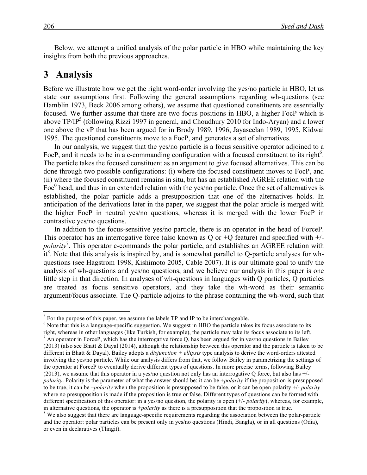Below, we attempt a unified analysis of the polar particle in HBO while maintaining the key insights from both the previous approaches.

## 3 Analysis

Before we illustrate how we get the right word-order involving the yes/no particle in HBO, let us state our assumptions first. Following the general assumptions regarding wh-questions (see Hamblin 1973, Beck 2006 among others), we assume that questioned constituents are essentially focused. We further assume that there are two focus positions in HBO, a higher FocP which is above  $TP/IP^5$  (following Rizzi 1997 in general, and Choudhury 2010 for Indo-Aryan) and a lower one above the vP that has been argued for in Brody 1989, 1996, Jayaseelan 1989, 1995, Kidwai 1995. The questioned constituents move to a FocP, and generates a set of alternatives.

In our analysis, we suggest that the yes/no particle is a focus sensitive operator adjoined to a FocP, and it needs to be in a c-commanding configuration with a focused constituent to its right<sup>6</sup>. The particle takes the focused constituent as an argument to give focused alternatives. This can be done through two possible configurations: (i) where the focused constituent moves to FocP, and (ii) where the focused constituent remains in situ, but has an established AGREE relation with the Foc<sup>0</sup> head, and thus in an extended relation with the yes/no particle. Once the set of alternatives is established, the polar particle adds a presupposition that one of the alternatives holds. In anticipation of the derivations later in the paper, we suggest that the polar article is merged with the higher FocP in neutral yes/no questions, whereas it is merged with the lower FocP in contrastive yes/no questions.

In addition to the focus-sensitive yes/no particle, there is an operator in the head of ForceP. This operator has an interrogative force (also known as Q or  $+Q$  feature) and specified with  $+/$ *polarity*<sup>7</sup> . This operator c-commands the polar particle, and establishes an AGREE relation with  $it^8$ . Note that this analysis is inspired by, and is somewhat parallel to Q-particle analyses for whquestions (see Hagstrom 1998, Kishimoto 2005, Cable 2007). It is our ultimate goal to unify the analysis of wh-questions and yes/no questions, and we believe our analysis in this paper is one little step in that direction. In analyses of wh-questions in languages with Q particles, Q particles are treated as focus sensitive operators, and they take the wh-word as their semantic argument/focus associate. The Q-particle adjoins to the phrase containing the wh-word, such that

 $<sup>5</sup>$  For the purpose of this paper, we assume the labels TP and IP to be interchangeable.</sup>

<sup>&</sup>lt;sup>6</sup> Note that this is a language-specific suggestion. We suggest in HBO the particle takes its focus associate to its right, whereas in other languages (like Turkish, for example), the particle may take its focus associate to its left.  $<sup>7</sup>$  An operator in ForceP, which has the interrogative force Q, has been argued for in yes/no questions in Bailey</sup> (2013) (also see Bhatt & Dayal (2014), although the relationship between this operator and the particle is taken to be different in Bhatt & Dayal). Bailey adopts a *disjunction + ellipsis* type analysis to derive the word-orders attested involving the yes/no particle. While our analysis differs from that, we follow Bailey in parametrizing the settings of the operator at ForceP to eventually derive different types of questions. In more precise terms, following Bailey (2013), we assume that this operator in a yes/no question not only has an interrogative Q force, but also has +/ *polarity*. Polarity is the parameter of what the answer should be: it can be +*polarity* if the proposition is presupposed to be true, it can be –*polarity* when the proposition is presupposed to be false, or it can be open polarity +/- *polarity* where no presupposition is made if the proposition is true or false. Different types of questions can be formed with different specification of this operator: in a yes/no question, the polarity is open (+/- *polarity*), whereas, for example, in alternative questions, the operator is  $+polarity$  as there is a presupposition that the proposition is true.<br><sup>8</sup> We also suggest that there are language-specific requirements regarding the association between the polar-parti

and the operator: polar particles can be present only in yes/no questions (Hindi, Bangla), or in all questions (Odia), or even in declaratives (Tlingit).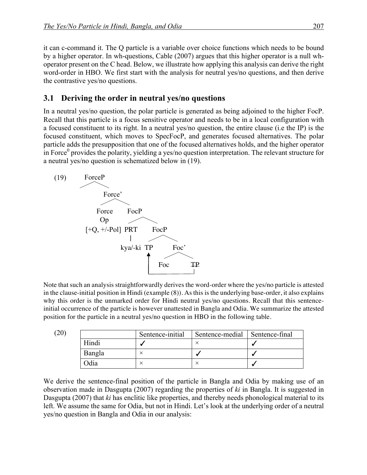it can c-command it. The Q particle is a variable over choice functions which needs to be bound by a higher operator. In wh-questions, Cable (2007) argues that this higher operator is a null whoperator present on the C head. Below, we illustrate how applying this analysis can derive the right word-order in HBO. We first start with the analysis for neutral yes/no questions, and then derive the contrastive yes/no questions.

### **3.1 Deriving the order in neutral yes/no questions**

In a neutral yes/no question, the polar particle is generated as being adjoined to the higher FocP. Recall that this particle is a focus sensitive operator and needs to be in a local configuration with a focused constituent to its right. In a neutral yes/no question, the entire clause (i.e the IP) is the focused constituent, which moves to SpecFocP, and generates focused alternatives. The polar particle adds the presupposition that one of the focused alternatives holds, and the higher operator in Force $^0$  provides the polarity, yielding a yes/no question interpretation. The relevant structure for a neutral yes/no question is schematized below in (19).



Note that such an analysis straightforwardly derives the word-order where the yes/no particle is attested in the clause-initial position in Hindi (example (8)). As this is the underlying base-order, it also explains why this order is the unmarked order for Hindi neutral yes/no questions. Recall that this sentenceinitial occurrence of the particle is however unattested in Bangla and Odia. We summarize the attested position for the particle in a neutral yes/no question in HBO in the following table.

|        | Sentence-initial | Sentence-medial | Sentence-final |
|--------|------------------|-----------------|----------------|
| Hindi  |                  |                 |                |
| Bangla |                  |                 |                |
| )dia   |                  |                 |                |

We derive the sentence-final position of the particle in Bangla and Odia by making use of an observation made in Dasgupta (2007) regarding the properties of *ki* in Bangla. It is suggested in Dasgupta (2007) that *ki* has enclitic like properties, and thereby needs phonological material to its left. We assume the same for Odia, but not in Hindi. Let's look at the underlying order of a neutral yes/no question in Bangla and Odia in our analysis: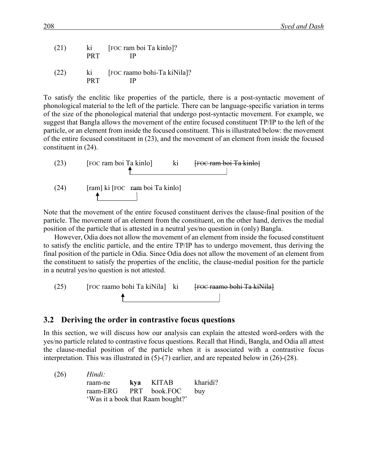- (21) ki [FOC ram boi Ta kinlo]? PRT IP
- (22) ki [FOC raamo bohi-Ta kiNila]? PRT IP

To satisfy the enclitic like properties of the particle, there is a post-syntactic movement of phonological material to the left of the particle. There can be language-specific variation in terms of the size of the phonological material that undergo post-syntactic movement. For example, we suggest that Bangla allows the movement of the entire focused constituent TP/IP to the left of the particle, or an element from inside the focused constituent. This is illustrated below: the movement of the entire focused constituent in (23), and the movement of an element from inside the focused constituent in (24).



Note that the movement of the entire focused constituent derives the clause-final position of the particle. The movement of an element from the constituent, on the other hand, derives the medial position of the particle that is attested in a neutral yes/no question in (only) Bangla.

However, Odia does not allow the movement of an element from inside the focused constituent to satisfy the enclitic particle, and the entire TP/IP has to undergo movement, thus deriving the final position of the particle in Odia. Since Odia does not allow the movement of an element from the constituent to satisfy the properties of the enclitic, the clause-medial position for the particle in a neutral yes/no question is not attested.

```
(25) [Foc raamo bohi Ta kiNila] ki [FOC raamo bohi Ta kiNila]
```
#### **3.2** Deriving the order in contrastive focus questions

In this section, we will discuss how our analysis can explain the attested word-orders with the yes/no particle related to contrastive focus questions. Recall that Hindi, Bangla, and Odia all attest the clause-medial position of the particle when it is associated with a contrastive focus interpretation. This was illustrated in (5)-(7) earlier, and are repeated below in (26)-(28).

(26) *Hindi:* raam-ne **kya** KITAB kharidi? raam-ERG PRT book.FOC buy 'Was it a book that Raam bought?'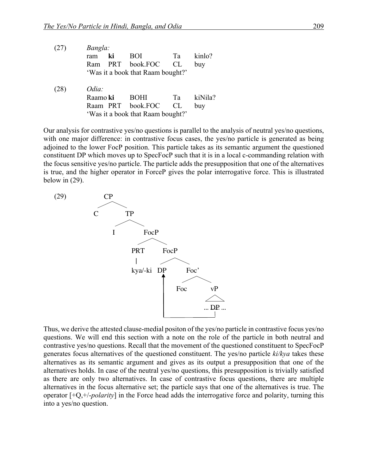| (2') | Bangla:                           |                                   |           |         |  |
|------|-----------------------------------|-----------------------------------|-----------|---------|--|
|      | ki<br>ram                         | <b>BOI</b>                        | Ta        | kinlo?  |  |
|      | Ram                               | PRT book.FOC                      | <b>CL</b> | buy     |  |
|      |                                   | 'Was it a book that Raam bought?' |           |         |  |
| (28) | Odia:                             |                                   |           |         |  |
|      | Raamo ki                          | <b>BOHI</b>                       | Ta        | kiNila? |  |
|      |                                   | Raam PRT book.FOC                 | <b>CL</b> | buy     |  |
|      | 'Was it a book that Raam bought?' |                                   |           |         |  |

Our analysis for contrastive yes/no questions is parallel to the analysis of neutral yes/no questions, with one major difference: in contrastive focus cases, the yes/no particle is generated as being adjoined to the lower FocP position. This particle takes as its semantic argument the questioned constituent DP which moves up to SpecFocP such that it is in a local c-commanding relation with the focus sensitive yes/no particle. The particle adds the presupposition that one of the alternatives is true, and the higher operator in ForceP gives the polar interrogative force. This is illustrated below in (29).



Thus, we derive the attested clause-medial positon of the yes/no particle in contrastive focus yes/no questions. We will end this section with a note on the role of the particle in both neutral and contrastive yes/no questions. Recall that the movement of the questioned constituent to SpecFocP generates focus alternatives of the questioned constituent. The yes/no particle *ki/kya* takes these alternatives as its semantic argument and gives as its output a presupposition that one of the alternatives holds. In case of the neutral yes/no questions, this presupposition is trivially satisfied as there are only two alternatives. In case of contrastive focus questions, there are multiple alternatives in the focus alternative set; the particle says that one of the alternatives is true. The operator [+Q,+/-*polarity*] in the Force head adds the interrogative force and polarity, turning this into a yes/no question.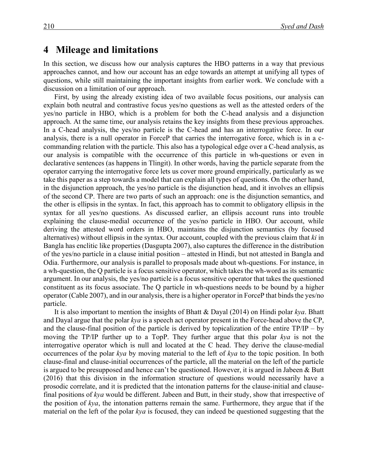## **4** Mileage and limitations

In this section, we discuss how our analysis captures the HBO patterns in a way that previous approaches cannot, and how our account has an edge towards an attempt at unifying all types of questions, while still maintaining the important insights from earlier work. We conclude with a discussion on a limitation of our approach.

First, by using the already existing idea of two available focus positions, our analysis can explain both neutral and contrastive focus yes/no questions as well as the attested orders of the yes/no particle in HBO, which is a problem for both the C-head analysis and a disjunction approach. At the same time, our analysis retains the key insights from these previous approaches. In a C-head analysis, the yes/no particle is the C-head and has an interrogative force. In our analysis, there is a null operator in ForceP that carries the interrogative force, which is in a ccommanding relation with the particle. This also has a typological edge over a C-head analysis, as our analysis is compatible with the occurrence of this particle in wh-questions or even in declarative sentences (as happens in Tlingit). In other words, having the particle separate from the operator carrying the interrogative force lets us cover more ground empirically, particularly as we take this paper as a step towards a model that can explain all types of questions. On the other hand, in the disjunction approach, the yes/no particle is the disjunction head, and it involves an ellipsis of the second CP. There are two parts of such an approach: one is the disjunction semantics, and the other is ellipsis in the syntax. In fact, this approach has to commit to obligatory ellipsis in the syntax for all yes/no questions. As discussed earlier, an ellipsis account runs into trouble explaining the clause-medial occurrence of the yes/no particle in HBO. Our account, while deriving the attested word orders in HBO, maintains the disjunction semantics (by focused alternatives) without ellipsis in the syntax. Our account, coupled with the previous claim that *ki* in Bangla has enclitic like properties (Dasgupta 2007), also captures the difference in the distribution of the yes/no particle in a clause initial position – attested in Hindi, but not attested in Bangla and Odia. Furthermore, our analysis is parallel to proposals made about wh-questions. For instance, in a wh-question, the Q particle is a focus sensitive operator, which takes the wh-word as its semantic argument. In our analysis, the yes/no particle is a focus sensitive operator that takes the questioned constituent as its focus associate. The Q particle in wh-questions needs to be bound by a higher operator (Cable 2007), and in our analysis, there is a higher operator in ForceP that binds the yes/no particle.

It is also important to mention the insights of Bhatt & Dayal (2014) on Hindi polar *kya*. Bhatt and Dayal argue that the polar *kya* is a speech act operator present in the Force-head above the CP, and the clause-final position of the particle is derived by topicalization of the entire  $TP/IP - by$ moving the TP/IP further up to a TopP. They further argue that this polar *kya* is not the interrogative operator which is null and located at the C head. They derive the clause-medial occurrences of the polar *kya* by moving material to the left of *kya* to the topic position. In both clause-final and clause-initial occurrences of the particle, all the material on the left of the particle is argued to be presupposed and hence can't be questioned. However, it is argued in Jabeen & Butt (2016) that this division in the information structure of questions would necessarily have a prosodic correlate, and it is predicted that the intonation patterns for the clause-initial and clausefinal positions of *kya* would be different. Jabeen and Butt, in their study, show that irrespective of the position of *kya*, the intonation patterns remain the same. Furthermore, they argue that if the material on the left of the polar *kya* is focused, they can indeed be questioned suggesting that the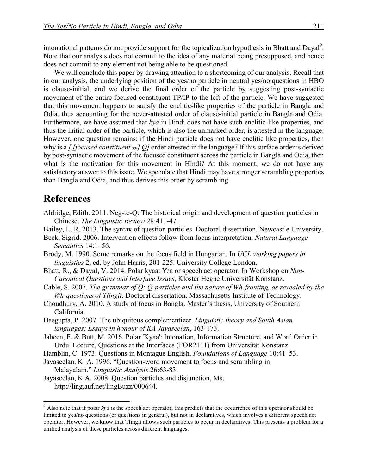intonational patterns do not provide support for the topicalization hypothesis in Bhatt and Dayal<sup>9</sup>. Note that our analysis does not commit to the idea of any material being presupposed, and hence does not commit to any element not being able to be questioned.

We will conclude this paper by drawing attention to a shortcoming of our analysis. Recall that in our analysis, the underlying position of the yes/no particle in neutral yes/no questions in HBO is clause-initial, and we derive the final order of the particle by suggesting post-syntactic movement of the entire focused constituent TP/IP to the left of the particle. We have suggested that this movement happens to satisfy the enclitic-like properties of the particle in Bangla and Odia, thus accounting for the never-attested order of clause-initial particle in Bangla and Odia. Furthermore, we have assumed that *kya* in Hindi does not have such enclitic-like properties, and thus the initial order of the particle, which is also the unmarked order, is attested in the language. However, one question remains: if the Hindi particle does not have enclitic like properties, then why is a *[ [focused constituent <sub>TP</sub>] Q]* order attested in the language? If this surface order is derived by post-syntactic movement of the focused constituent across the particle in Bangla and Odia, then what is the motivation for this movement in Hindi? At this moment, we do not have any satisfactory answer to this issue. We speculate that Hindi may have stronger scrambling properties than Bangla and Odia, and thus derives this order by scrambling.

## **References**

- Aldridge, Edith. 2011. Neg-to-Q: The historical origin and development of question particles in Chinese. *The Linguistic Review* 28:411-47.
- Bailey, L. R. 2013. The syntax of question particles. Doctoral dissertation. Newcastle University.
- Beck, Sigrid. 2006. Intervention effects follow from focus interpretation. *Natural Language Semantics* 14:1–56.
- Brody, M. 1990. Some remarks on the focus field in Hungarian. In *UCL working papers in linguistics* 2, ed. by John Harris, 201-225. University College London.
- Bhatt, R., & Dayal, V. 2014. Polar kyaa: Y/n or speech act operator. In Workshop on *Non-Canonical Questions and Interface Issues*, Kloster Hegne Universität Konstanz.
- Cable, S. 2007. *The grammar of Q: Q-particles and the nature of Wh-fronting, as revealed by the Wh-questions of Tlingit*. Doctoral dissertation. Massachusetts Institute of Technology.
- Choudhury, A. 2010. A study of focus in Bangla. Master's thesis, University of Southern California.
- Dasgupta, P. 2007. The ubiquitous complementizer. *Linguistic theory and South Asian languages: Essays in honour of KA Jayaseelan*, 163-173.
- Jabeen, F. & Butt, M. 2016. Polar 'Kyaa': Intonation, Information Structure, and Word Order in Urdu. Lecture, Questions at the Interfaces (FOR2111) from Universität Konstanz.
- Hamblin, C. 1973. Questions in Montague English. *Foundations of Language* 10:41–53.
- Jayaseelan, K. A. 1996. "Question-word movement to focus and scrambling in Malayalam." *Linguistic Analysis* 26:63-83.
- Jayaseelan, K.A. 2008. Question particles and disjunction, Ms. http://ling.auf.net/lingBuzz/000644.

<sup>&</sup>lt;sup>9</sup> Also note that if polar *kya* is the speech act operator, this predicts that the occurrence of this operator should be limited to yes/no questions (or questions in general), but not in declaratives, which involves a different speech act operator. However, we know that Tlingit allows such particles to occur in declaratives. This presents a problem for a unified analysis of these particles across different languages.